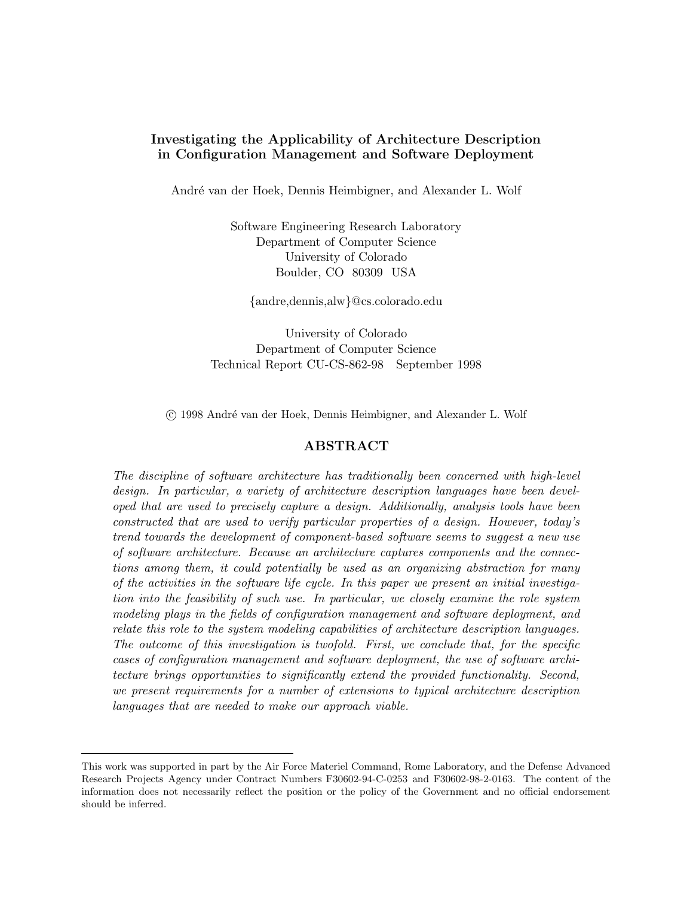# Investigating the Applicability of Architecture Description in Configuration Management and Software Deployment

André van der Hoek, Dennis Heimbigner, and Alexander L. Wolf

Software Engineering Research Laboratory Department of Computer Science University of Colorado Boulder, CO 80309 USA

{andre,dennis,alw}@cs.colorado.edu

University of Colorado Department of Computer Science Technical Report CU-CS-862-98 September 1998

c 1998 Andr´e van der Hoek, Dennis Heimbigner, and Alexander L. Wolf

### ABSTRACT

The discipline of software architecture has traditionally been concerned with high-level design. In particular, a variety of architecture description languages have been developed that are used to precisely capture a design. Additionally, analysis tools have been constructed that are used to verify particular properties of a design. However, today's trend towards the development of component-based software seems to suggest a new use of software architecture. Because an architecture captures components and the connections among them, it could potentially be used as an organizing abstraction for many of the activities in the software life cycle. In this paper we present an initial investigation into the feasibility of such use. In particular, we closely examine the role system modeling plays in the fields of configuration management and software deployment, and relate this role to the system modeling capabilities of architecture description languages. The outcome of this investigation is twofold. First, we conclude that, for the specific cases of configuration management and software deployment, the use of software architecture brings opportunities to significantly extend the provided functionality. Second, we present requirements for a number of extensions to typical architecture description languages that are needed to make our approach viable.

This work was supported in part by the Air Force Materiel Command, Rome Laboratory, and the Defense Advanced Research Projects Agency under Contract Numbers F30602-94-C-0253 and F30602-98-2-0163. The content of the information does not necessarily reflect the position or the policy of the Government and no official endorsement should be inferred.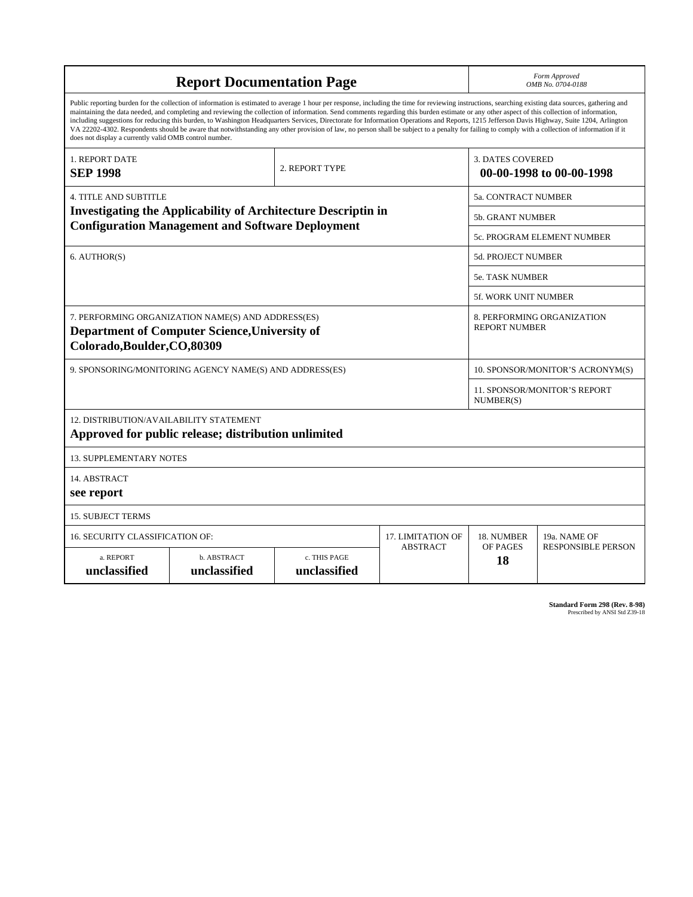| <b>Report Documentation Page</b>                                                                                                                                                                                                                                                                                                                                                                                                                                                                                                                                                                                                                                                                                                                                                                                                                                   |                             |                              |                 |                            | Form Approved<br>OMB No. 0704-0188                 |  |
|--------------------------------------------------------------------------------------------------------------------------------------------------------------------------------------------------------------------------------------------------------------------------------------------------------------------------------------------------------------------------------------------------------------------------------------------------------------------------------------------------------------------------------------------------------------------------------------------------------------------------------------------------------------------------------------------------------------------------------------------------------------------------------------------------------------------------------------------------------------------|-----------------------------|------------------------------|-----------------|----------------------------|----------------------------------------------------|--|
| Public reporting burden for the collection of information is estimated to average 1 hour per response, including the time for reviewing instructions, searching existing data sources, gathering and<br>maintaining the data needed, and completing and reviewing the collection of information. Send comments regarding this burden estimate or any other aspect of this collection of information,<br>including suggestions for reducing this burden, to Washington Headquarters Services, Directorate for Information Operations and Reports, 1215 Jefferson Davis Highway, Suite 1204, Arlington<br>VA 22202-4302. Respondents should be aware that notwithstanding any other provision of law, no person shall be subject to a penalty for failing to comply with a collection of information if it<br>does not display a currently valid OMB control number. |                             |                              |                 |                            |                                                    |  |
| 1. REPORT DATE<br><b>SEP 1998</b>                                                                                                                                                                                                                                                                                                                                                                                                                                                                                                                                                                                                                                                                                                                                                                                                                                  |                             | 2. REPORT TYPE               |                 | <b>3. DATES COVERED</b>    | 00-00-1998 to 00-00-1998                           |  |
| 4. TITLE AND SUBTITLE                                                                                                                                                                                                                                                                                                                                                                                                                                                                                                                                                                                                                                                                                                                                                                                                                                              |                             |                              |                 | <b>5a. CONTRACT NUMBER</b> |                                                    |  |
| <b>Investigating the Applicability of Architecture Descriptin in</b>                                                                                                                                                                                                                                                                                                                                                                                                                                                                                                                                                                                                                                                                                                                                                                                               |                             |                              |                 |                            | <b>5b. GRANT NUMBER</b>                            |  |
| <b>Configuration Management and Software Deployment</b>                                                                                                                                                                                                                                                                                                                                                                                                                                                                                                                                                                                                                                                                                                                                                                                                            |                             |                              |                 |                            | 5c. PROGRAM ELEMENT NUMBER                         |  |
| 6. AUTHOR(S)                                                                                                                                                                                                                                                                                                                                                                                                                                                                                                                                                                                                                                                                                                                                                                                                                                                       |                             |                              |                 | <b>5d. PROJECT NUMBER</b>  |                                                    |  |
|                                                                                                                                                                                                                                                                                                                                                                                                                                                                                                                                                                                                                                                                                                                                                                                                                                                                    |                             |                              |                 |                            | <b>5e. TASK NUMBER</b>                             |  |
|                                                                                                                                                                                                                                                                                                                                                                                                                                                                                                                                                                                                                                                                                                                                                                                                                                                                    |                             |                              |                 |                            | 5f. WORK UNIT NUMBER                               |  |
| 7. PERFORMING ORGANIZATION NAME(S) AND ADDRESS(ES)<br><b>Department of Computer Science, University of</b><br>Colorado, Boulder, CO, 80309                                                                                                                                                                                                                                                                                                                                                                                                                                                                                                                                                                                                                                                                                                                         |                             |                              |                 |                            | 8. PERFORMING ORGANIZATION<br><b>REPORT NUMBER</b> |  |
| 9. SPONSORING/MONITORING AGENCY NAME(S) AND ADDRESS(ES)                                                                                                                                                                                                                                                                                                                                                                                                                                                                                                                                                                                                                                                                                                                                                                                                            |                             |                              |                 |                            | 10. SPONSOR/MONITOR'S ACRONYM(S)                   |  |
|                                                                                                                                                                                                                                                                                                                                                                                                                                                                                                                                                                                                                                                                                                                                                                                                                                                                    |                             |                              |                 |                            | 11. SPONSOR/MONITOR'S REPORT<br>NUMBER(S)          |  |
| 12. DISTRIBUTION/AVAILABILITY STATEMENT<br>Approved for public release; distribution unlimited                                                                                                                                                                                                                                                                                                                                                                                                                                                                                                                                                                                                                                                                                                                                                                     |                             |                              |                 |                            |                                                    |  |
| <b>13. SUPPLEMENTARY NOTES</b>                                                                                                                                                                                                                                                                                                                                                                                                                                                                                                                                                                                                                                                                                                                                                                                                                                     |                             |                              |                 |                            |                                                    |  |
| 14. ABSTRACT<br>see report                                                                                                                                                                                                                                                                                                                                                                                                                                                                                                                                                                                                                                                                                                                                                                                                                                         |                             |                              |                 |                            |                                                    |  |
| <b>15. SUBJECT TERMS</b>                                                                                                                                                                                                                                                                                                                                                                                                                                                                                                                                                                                                                                                                                                                                                                                                                                           |                             |                              |                 |                            |                                                    |  |
| 16. SECURITY CLASSIFICATION OF:                                                                                                                                                                                                                                                                                                                                                                                                                                                                                                                                                                                                                                                                                                                                                                                                                                    | 17. LIMITATION OF           | 18. NUMBER                   | 19a. NAME OF    |                            |                                                    |  |
| a. REPORT<br>unclassified                                                                                                                                                                                                                                                                                                                                                                                                                                                                                                                                                                                                                                                                                                                                                                                                                                          | b. ABSTRACT<br>unclassified | c. THIS PAGE<br>unclassified | <b>ABSTRACT</b> | OF PAGES<br>18             | <b>RESPONSIBLE PERSON</b>                          |  |

**Standard Form 298 (Rev. 8-98)**<br>Prescribed by ANSI Std Z39-18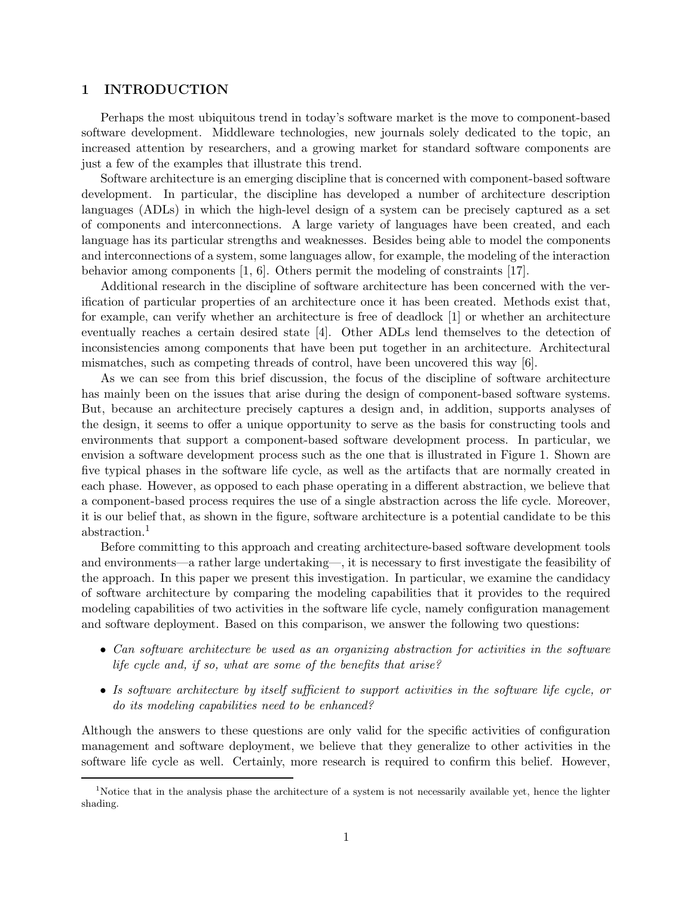### 1 INTRODUCTION

Perhaps the most ubiquitous trend in today's software market is the move to component-based software development. Middleware technologies, new journals solely dedicated to the topic, an increased attention by researchers, and a growing market for standard software components are just a few of the examples that illustrate this trend.

Software architecture is an emerging discipline that is concerned with component-based software development. In particular, the discipline has developed a number of architecture description languages (ADLs) in which the high-level design of a system can be precisely captured as a set of components and interconnections. A large variety of languages have been created, and each language has its particular strengths and weaknesses. Besides being able to model the components and interconnections of a system, some languages allow, for example, the modeling of the interaction behavior among components [1, 6]. Others permit the modeling of constraints [17].

Additional research in the discipline of software architecture has been concerned with the verification of particular properties of an architecture once it has been created. Methods exist that, for example, can verify whether an architecture is free of deadlock [1] or whether an architecture eventually reaches a certain desired state [4]. Other ADLs lend themselves to the detection of inconsistencies among components that have been put together in an architecture. Architectural mismatches, such as competing threads of control, have been uncovered this way [6].

As we can see from this brief discussion, the focus of the discipline of software architecture has mainly been on the issues that arise during the design of component-based software systems. But, because an architecture precisely captures a design and, in addition, supports analyses of the design, it seems to offer a unique opportunity to serve as the basis for constructing tools and environments that support a component-based software development process. In particular, we envision a software development process such as the one that is illustrated in Figure 1. Shown are five typical phases in the software life cycle, as well as the artifacts that are normally created in each phase. However, as opposed to each phase operating in a different abstraction, we believe that a component-based process requires the use of a single abstraction across the life cycle. Moreover, it is our belief that, as shown in the figure, software architecture is a potential candidate to be this abstraction.<sup>1</sup>

Before committing to this approach and creating architecture-based software development tools and environments—a rather large undertaking—, it is necessary to first investigate the feasibility of the approach. In this paper we present this investigation. In particular, we examine the candidacy of software architecture by comparing the modeling capabilities that it provides to the required modeling capabilities of two activities in the software life cycle, namely configuration management and software deployment. Based on this comparison, we answer the following two questions:

- Can software architecture be used as an organizing abstraction for activities in the software life cycle and, if so, what are some of the benefits that arise?
- Is software architecture by itself sufficient to support activities in the software life cycle, or do its modeling capabilities need to be enhanced?

Although the answers to these questions are only valid for the specific activities of configuration management and software deployment, we believe that they generalize to other activities in the software life cycle as well. Certainly, more research is required to confirm this belief. However,

<sup>&</sup>lt;sup>1</sup>Notice that in the analysis phase the architecture of a system is not necessarily available yet, hence the lighter shading.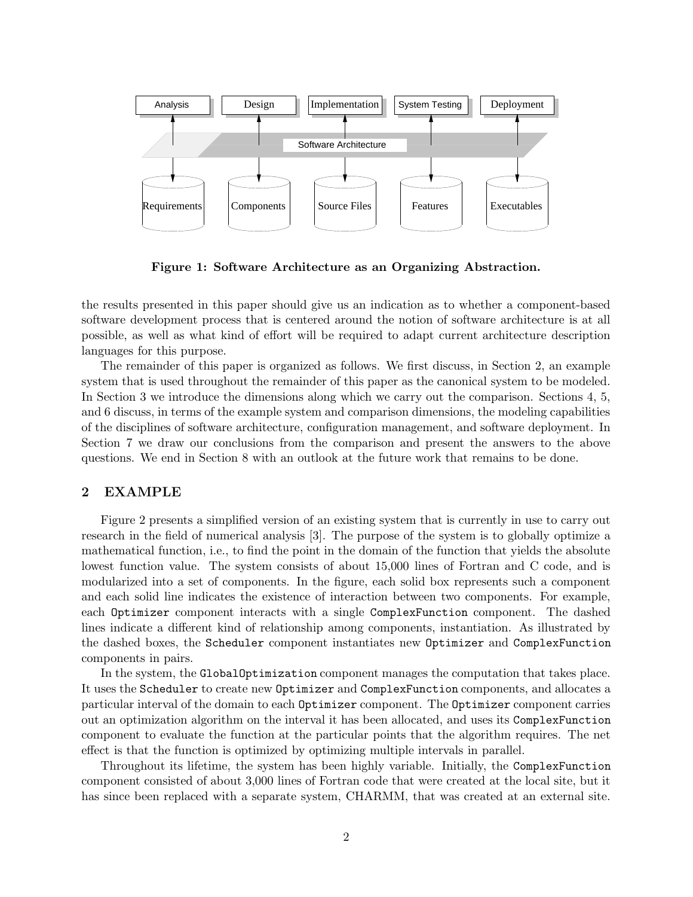

Figure 1: Software Architecture as an Organizing Abstraction.

the results presented in this paper should give us an indication as to whether a component-based software development process that is centered around the notion of software architecture is at all possible, as well as what kind of effort will be required to adapt current architecture description languages for this purpose.

The remainder of this paper is organized as follows. We first discuss, in Section 2, an example system that is used throughout the remainder of this paper as the canonical system to be modeled. In Section 3 we introduce the dimensions along which we carry out the comparison. Sections 4, 5, and 6 discuss, in terms of the example system and comparison dimensions, the modeling capabilities of the disciplines of software architecture, configuration management, and software deployment. In Section 7 we draw our conclusions from the comparison and present the answers to the above questions. We end in Section 8 with an outlook at the future work that remains to be done.

## 2 EXAMPLE

Figure 2 presents a simplified version of an existing system that is currently in use to carry out research in the field of numerical analysis [3]. The purpose of the system is to globally optimize a mathematical function, i.e., to find the point in the domain of the function that yields the absolute lowest function value. The system consists of about 15,000 lines of Fortran and C code, and is modularized into a set of components. In the figure, each solid box represents such a component and each solid line indicates the existence of interaction between two components. For example, each Optimizer component interacts with a single ComplexFunction component. The dashed lines indicate a different kind of relationship among components, instantiation. As illustrated by the dashed boxes, the Scheduler component instantiates new Optimizer and ComplexFunction components in pairs.

In the system, the GlobalOptimization component manages the computation that takes place. It uses the Scheduler to create new Optimizer and ComplexFunction components, and allocates a particular interval of the domain to each Optimizer component. The Optimizer component carries out an optimization algorithm on the interval it has been allocated, and uses its ComplexFunction component to evaluate the function at the particular points that the algorithm requires. The net effect is that the function is optimized by optimizing multiple intervals in parallel.

Throughout its lifetime, the system has been highly variable. Initially, the ComplexFunction component consisted of about 3,000 lines of Fortran code that were created at the local site, but it has since been replaced with a separate system, CHARMM, that was created at an external site.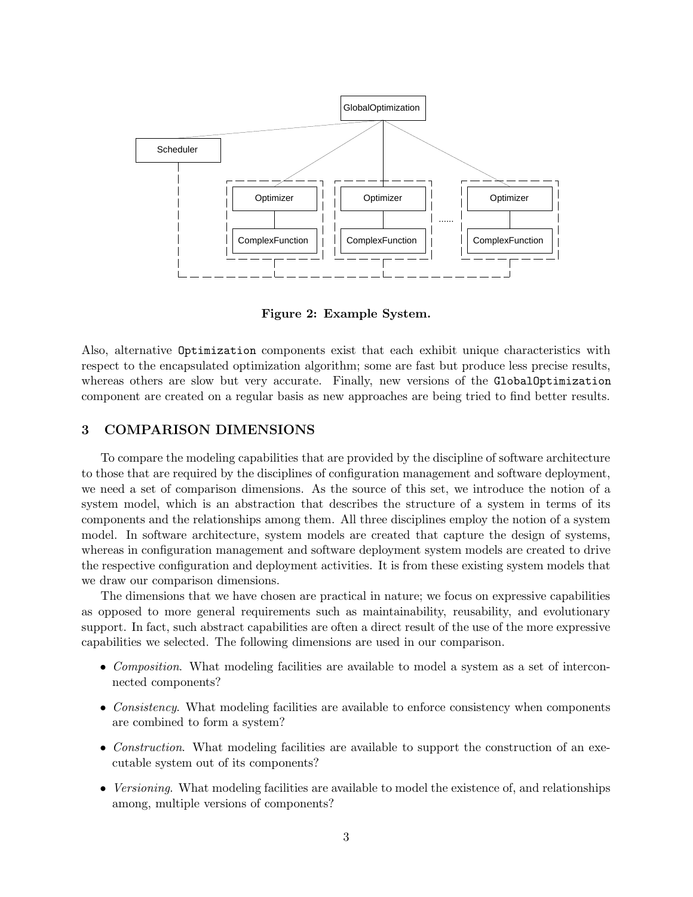

Figure 2: Example System.

Also, alternative Optimization components exist that each exhibit unique characteristics with respect to the encapsulated optimization algorithm; some are fast but produce less precise results, whereas others are slow but very accurate. Finally, new versions of the GlobalOptimization component are created on a regular basis as new approaches are being tried to find better results.

# 3 COMPARISON DIMENSIONS

To compare the modeling capabilities that are provided by the discipline of software architecture to those that are required by the disciplines of configuration management and software deployment, we need a set of comparison dimensions. As the source of this set, we introduce the notion of a system model, which is an abstraction that describes the structure of a system in terms of its components and the relationships among them. All three disciplines employ the notion of a system model. In software architecture, system models are created that capture the design of systems, whereas in configuration management and software deployment system models are created to drive the respective configuration and deployment activities. It is from these existing system models that we draw our comparison dimensions.

The dimensions that we have chosen are practical in nature; we focus on expressive capabilities as opposed to more general requirements such as maintainability, reusability, and evolutionary support. In fact, such abstract capabilities are often a direct result of the use of the more expressive capabilities we selected. The following dimensions are used in our comparison.

- Composition. What modeling facilities are available to model a system as a set of interconnected components?
- Consistency. What modeling facilities are available to enforce consistency when components are combined to form a system?
- Construction. What modeling facilities are available to support the construction of an executable system out of its components?
- Versioning. What modeling facilities are available to model the existence of, and relationships among, multiple versions of components?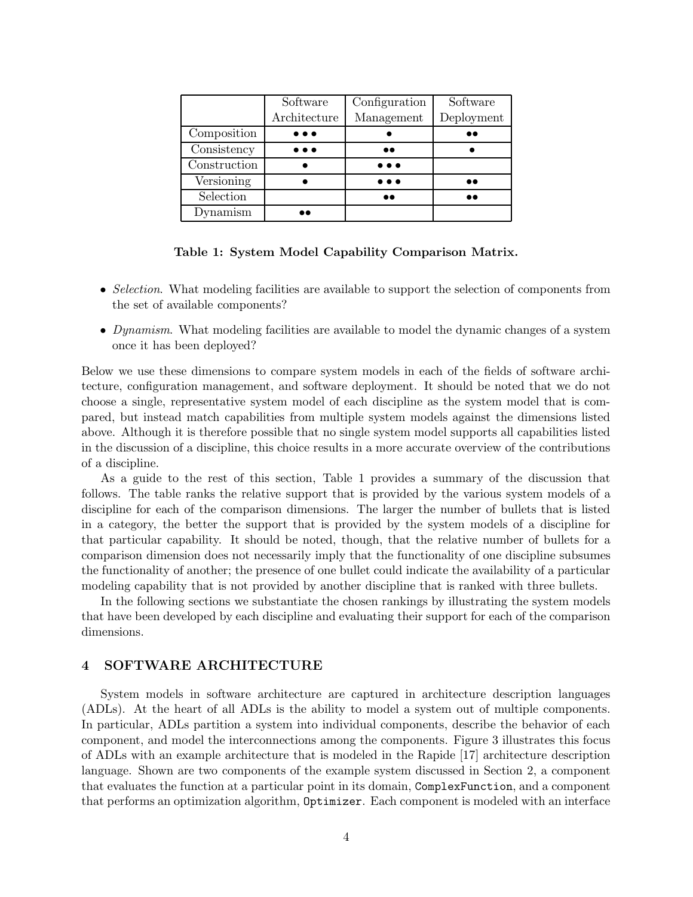|              | Software                | Configuration           | Software         |
|--------------|-------------------------|-------------------------|------------------|
|              | Architecture            | Management              | Deployment       |
| Composition  | $\bullet\bullet\bullet$ |                         |                  |
| Consistency  | $\bullet\bullet\bullet$ | $\bullet\bullet$        |                  |
| Construction |                         | $\bullet\bullet\bullet$ |                  |
| Versioning   |                         | $\bullet\bullet\bullet$ | $\bullet\bullet$ |
| Selection    |                         |                         |                  |
| Dynamism     |                         |                         |                  |

### Table 1: System Model Capability Comparison Matrix.

- Selection. What modeling facilities are available to support the selection of components from the set of available components?
- Dynamism. What modeling facilities are available to model the dynamic changes of a system once it has been deployed?

Below we use these dimensions to compare system models in each of the fields of software architecture, configuration management, and software deployment. It should be noted that we do not choose a single, representative system model of each discipline as the system model that is compared, but instead match capabilities from multiple system models against the dimensions listed above. Although it is therefore possible that no single system model supports all capabilities listed in the discussion of a discipline, this choice results in a more accurate overview of the contributions of a discipline.

As a guide to the rest of this section, Table 1 provides a summary of the discussion that follows. The table ranks the relative support that is provided by the various system models of a discipline for each of the comparison dimensions. The larger the number of bullets that is listed in a category, the better the support that is provided by the system models of a discipline for that particular capability. It should be noted, though, that the relative number of bullets for a comparison dimension does not necessarily imply that the functionality of one discipline subsumes the functionality of another; the presence of one bullet could indicate the availability of a particular modeling capability that is not provided by another discipline that is ranked with three bullets.

In the following sections we substantiate the chosen rankings by illustrating the system models that have been developed by each discipline and evaluating their support for each of the comparison dimensions.

# 4 SOFTWARE ARCHITECTURE

System models in software architecture are captured in architecture description languages (ADLs). At the heart of all ADLs is the ability to model a system out of multiple components. In particular, ADLs partition a system into individual components, describe the behavior of each component, and model the interconnections among the components. Figure 3 illustrates this focus of ADLs with an example architecture that is modeled in the Rapide [17] architecture description language. Shown are two components of the example system discussed in Section 2, a component that evaluates the function at a particular point in its domain, ComplexFunction, and a component that performs an optimization algorithm, Optimizer. Each component is modeled with an interface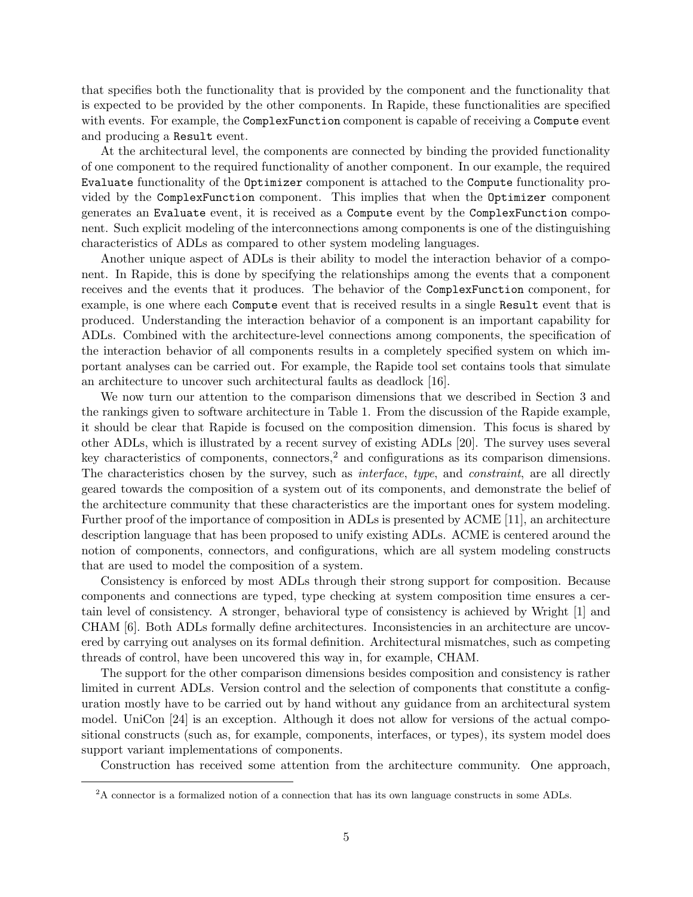that specifies both the functionality that is provided by the component and the functionality that is expected to be provided by the other components. In Rapide, these functionalities are specified with events. For example, the ComplexFunction component is capable of receiving a Compute event and producing a Result event.

At the architectural level, the components are connected by binding the provided functionality of one component to the required functionality of another component. In our example, the required Evaluate functionality of the Optimizer component is attached to the Compute functionality provided by the ComplexFunction component. This implies that when the Optimizer component generates an Evaluate event, it is received as a Compute event by the ComplexFunction component. Such explicit modeling of the interconnections among components is one of the distinguishing characteristics of ADLs as compared to other system modeling languages.

Another unique aspect of ADLs is their ability to model the interaction behavior of a component. In Rapide, this is done by specifying the relationships among the events that a component receives and the events that it produces. The behavior of the ComplexFunction component, for example, is one where each Compute event that is received results in a single Result event that is produced. Understanding the interaction behavior of a component is an important capability for ADLs. Combined with the architecture-level connections among components, the specification of the interaction behavior of all components results in a completely specified system on which important analyses can be carried out. For example, the Rapide tool set contains tools that simulate an architecture to uncover such architectural faults as deadlock [16].

We now turn our attention to the comparison dimensions that we described in Section 3 and the rankings given to software architecture in Table 1. From the discussion of the Rapide example, it should be clear that Rapide is focused on the composition dimension. This focus is shared by other ADLs, which is illustrated by a recent survey of existing ADLs [20]. The survey uses several key characteristics of components, connectors,<sup>2</sup> and configurations as its comparison dimensions. The characteristics chosen by the survey, such as *interface*, type, and *constraint*, are all directly geared towards the composition of a system out of its components, and demonstrate the belief of the architecture community that these characteristics are the important ones for system modeling. Further proof of the importance of composition in ADLs is presented by ACME [11], an architecture description language that has been proposed to unify existing ADLs. ACME is centered around the notion of components, connectors, and configurations, which are all system modeling constructs that are used to model the composition of a system.

Consistency is enforced by most ADLs through their strong support for composition. Because components and connections are typed, type checking at system composition time ensures a certain level of consistency. A stronger, behavioral type of consistency is achieved by Wright [1] and CHAM [6]. Both ADLs formally define architectures. Inconsistencies in an architecture are uncovered by carrying out analyses on its formal definition. Architectural mismatches, such as competing threads of control, have been uncovered this way in, for example, CHAM.

The support for the other comparison dimensions besides composition and consistency is rather limited in current ADLs. Version control and the selection of components that constitute a configuration mostly have to be carried out by hand without any guidance from an architectural system model. UniCon [24] is an exception. Although it does not allow for versions of the actual compositional constructs (such as, for example, components, interfaces, or types), its system model does support variant implementations of components.

Construction has received some attention from the architecture community. One approach,

<sup>2</sup>A connector is a formalized notion of a connection that has its own language constructs in some ADLs.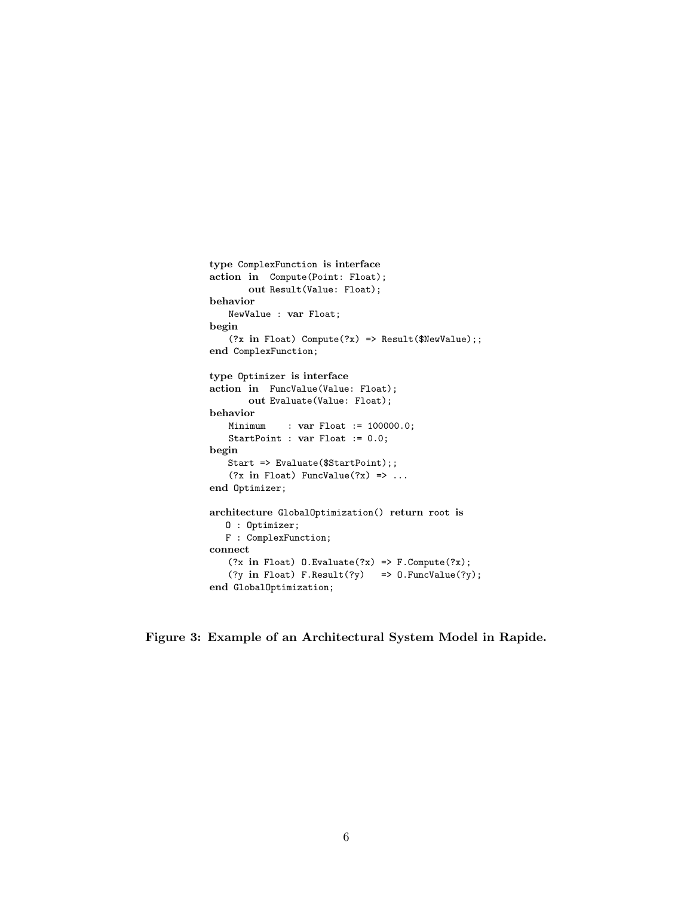```
type ComplexFunction is interface
action in Compute(Point: Float);
       out Result(Value: Float);
behavior
   NewValue : var Float;
begin
   (?x in Float) Compute(?x) => Result($NewValue);;
end ComplexFunction;
type Optimizer is interface
action in FuncValue(Value: Float);
       out Evaluate(Value: Float);
behavior
             : var Float := 100000.0;
   StartPoint : var Float := 0.0;
begin
   Start => Evaluate($StartPoint);;
   (?x in Float) FuncValue(?x) => ...
end Optimizer;
architecture GlobalOptimization() return root is
   O : Optimizer;
  F : ComplexFunction;
connect
   (?x in Float) 0.Evaluate(Yx) \implies F.Compute(Yx);(?y in Float) F.Result(?y) => 0.FuncValue(?y);
end GlobalOptimization;
```
Figure 3: Example of an Architectural System Model in Rapide.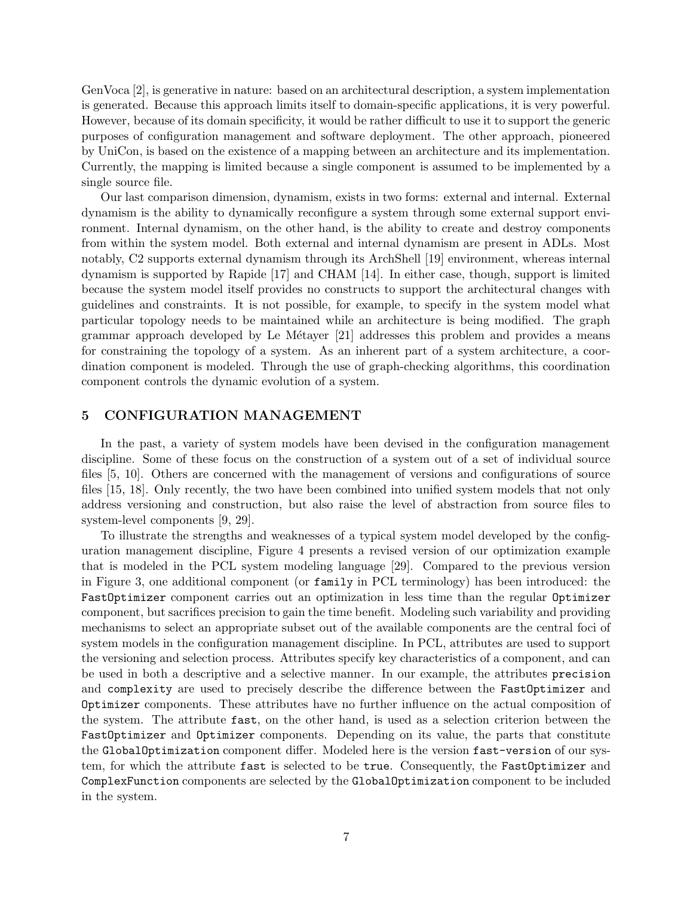GenVoca [2], is generative in nature: based on an architectural description, a system implementation is generated. Because this approach limits itself to domain-specific applications, it is very powerful. However, because of its domain specificity, it would be rather difficult to use it to support the generic purposes of configuration management and software deployment. The other approach, pioneered by UniCon, is based on the existence of a mapping between an architecture and its implementation. Currently, the mapping is limited because a single component is assumed to be implemented by a single source file.

Our last comparison dimension, dynamism, exists in two forms: external and internal. External dynamism is the ability to dynamically reconfigure a system through some external support environment. Internal dynamism, on the other hand, is the ability to create and destroy components from within the system model. Both external and internal dynamism are present in ADLs. Most notably, C2 supports external dynamism through its ArchShell [19] environment, whereas internal dynamism is supported by Rapide [17] and CHAM [14]. In either case, though, support is limited because the system model itself provides no constructs to support the architectural changes with guidelines and constraints. It is not possible, for example, to specify in the system model what particular topology needs to be maintained while an architecture is being modified. The graph grammar approach developed by Le Métayer  $[21]$  addresses this problem and provides a means for constraining the topology of a system. As an inherent part of a system architecture, a coordination component is modeled. Through the use of graph-checking algorithms, this coordination component controls the dynamic evolution of a system.

### 5 CONFIGURATION MANAGEMENT

In the past, a variety of system models have been devised in the configuration management discipline. Some of these focus on the construction of a system out of a set of individual source files [5, 10]. Others are concerned with the management of versions and configurations of source files [15, 18]. Only recently, the two have been combined into unified system models that not only address versioning and construction, but also raise the level of abstraction from source files to system-level components [9, 29].

To illustrate the strengths and weaknesses of a typical system model developed by the configuration management discipline, Figure 4 presents a revised version of our optimization example that is modeled in the PCL system modeling language [29]. Compared to the previous version in Figure 3, one additional component (or family in PCL terminology) has been introduced: the FastOptimizer component carries out an optimization in less time than the regular Optimizer component, but sacrifices precision to gain the time benefit. Modeling such variability and providing mechanisms to select an appropriate subset out of the available components are the central foci of system models in the configuration management discipline. In PCL, attributes are used to support the versioning and selection process. Attributes specify key characteristics of a component, and can be used in both a descriptive and a selective manner. In our example, the attributes precision and complexity are used to precisely describe the difference between the FastOptimizer and Optimizer components. These attributes have no further influence on the actual composition of the system. The attribute fast, on the other hand, is used as a selection criterion between the FastOptimizer and Optimizer components. Depending on its value, the parts that constitute the GlobalOptimization component differ. Modeled here is the version fast-version of our system, for which the attribute fast is selected to be true. Consequently, the FastOptimizer and ComplexFunction components are selected by the GlobalOptimization component to be included in the system.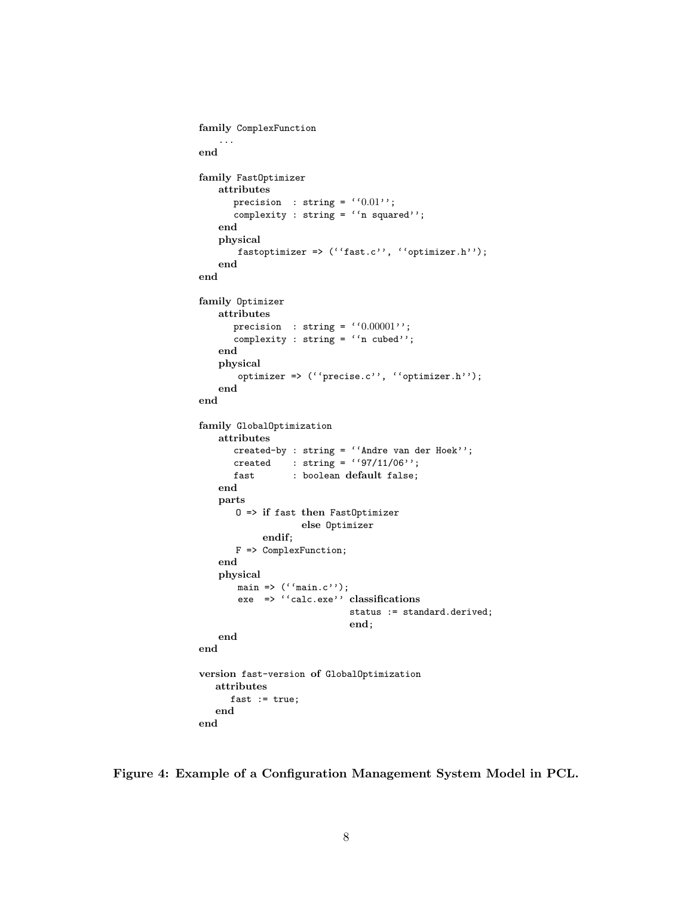```
family ComplexFunction
   ...
end
family FastOptimizer
   attributes
      precision : string = (0.01);
      complexity : string = ''n squared'';
   end
   physical
       fastoptimizer => (''fast.c'', ''optimizer.h'');
   end
end
family Optimizer
   attributes
      precision : string = (0.00001);
      complexity : string = ''n cubed'';
   end
   physical
       optimizer => (''precise.c'', ''optimizer.h'');
   end
end
family GlobalOptimization
   attributes
      created-by : string = ''Andre van der Hoek'';
      created : string = (97/11/06);
      fast : boolean default false;
   end
   parts
       O => if fast then FastOptimizer
                   else Optimizer
           endif;
       F => ComplexFunction;
   end
   physical
       main => (''main.c'');
       exe => ''calc.exe'' classifications
                            status := standard.derived;
                            end;
   end
end
version fast-version of GlobalOptimization
   attributes
     fast := true;end
end
```
Figure 4: Example of a Configuration Management System Model in PCL.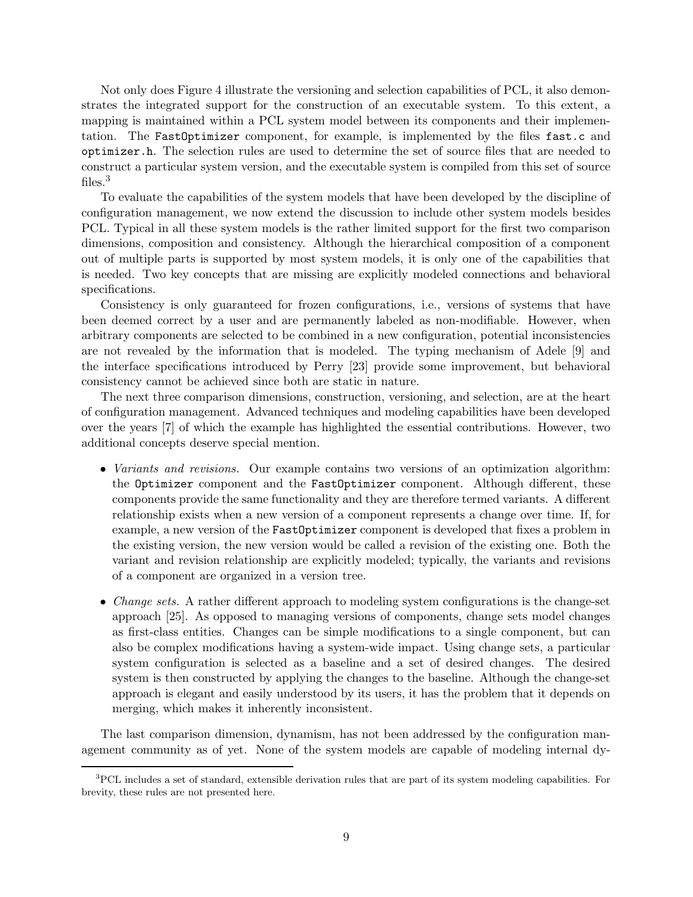Not only does Figure 4 illustrate the versioning and selection capabilities of PCL, it also demonstrates the integrated support for the construction of an executable system. To this extent, a mapping is maintained within a PCL system model between its components and their implementation. The FastOptimizer component, for example, is implemented by the files fast.c and optimizer.h. The selection rules are used to determine the set of source files that are needed to construct a particular system version, and the executable system is compiled from this set of source files.<sup>3</sup>

To evaluate the capabilities of the system models that have been developed by the discipline of configuration management, we now extend the discussion to include other system models besides PCL. Typical in all these system models is the rather limited support for the first two comparison dimensions, composition and consistency. Although the hierarchical composition of a component out of multiple parts is supported by most system models, it is only one of the capabilities that is needed. Two key concepts that are missing are explicitly modeled connections and behavioral specifications.

Consistency is only guaranteed for frozen configurations, i.e., versions of systems that have been deemed correct by a user and are permanently labeled as non-modifiable. However, when arbitrary components are selected to be combined in a new configuration, potential inconsistencies are not revealed by the information that is modeled. The typing mechanism of Adele [9] and the interface specifications introduced by Perry [23] provide some improvement, but behavioral consistency cannot be achieved since both are static in nature.

The next three comparison dimensions, construction, versioning, and selection, are at the heart of configuration management. Advanced techniques and modeling capabilities have been developed over the years [7] of which the example has highlighted the essential contributions. However, two additional concepts deserve special mention.

- *Variants and revisions.* Our example contains two versions of an optimization algorithm: the Optimizer component and the FastOptimizer component. Although different, these components provide the same functionality and they are therefore termed variants. A different relationship exists when a new version of a component represents a change over time. If, for example, a new version of the FastOptimizer component is developed that fixes a problem in the existing version, the new version would be called a revision of the existing one. Both the variant and revision relationship are explicitly modeled; typically, the variants and revisions of a component are organized in a version tree.
- *Change sets.* A rather different approach to modeling system configurations is the change-set approach [25]. As opposed to managing versions of components, change sets model changes as first-class entities. Changes can be simple modifications to a single component, but can also be complex modifications having a system-wide impact. Using change sets, a particular system configuration is selected as a baseline and a set of desired changes. The desired system is then constructed by applying the changes to the baseline. Although the change-set approach is elegant and easily understood by its users, it has the problem that it depends on merging, which makes it inherently inconsistent.

The last comparison dimension, dynamism, has not been addressed by the configuration management community as of yet. None of the system models are capable of modeling internal dy-

<sup>&</sup>lt;sup>3</sup>PCL includes a set of standard, extensible derivation rules that are part of its system modeling capabilities. For brevity, these rules are not presented here.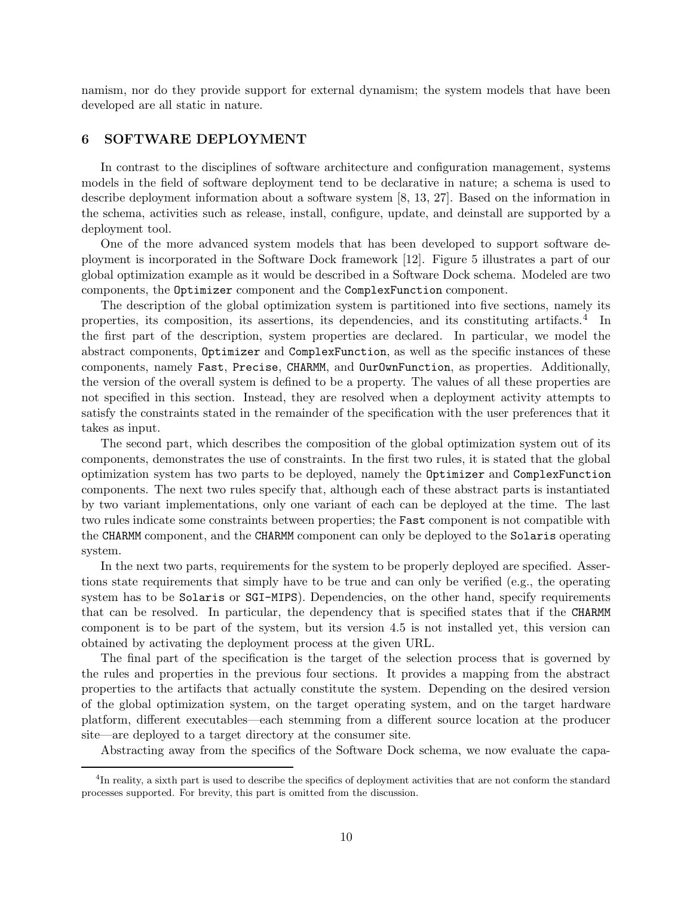namism, nor do they provide support for external dynamism; the system models that have been developed are all static in nature.

# 6 SOFTWARE DEPLOYMENT

In contrast to the disciplines of software architecture and configuration management, systems models in the field of software deployment tend to be declarative in nature; a schema is used to describe deployment information about a software system [8, 13, 27]. Based on the information in the schema, activities such as release, install, configure, update, and deinstall are supported by a deployment tool.

One of the more advanced system models that has been developed to support software deployment is incorporated in the Software Dock framework [12]. Figure 5 illustrates a part of our global optimization example as it would be described in a Software Dock schema. Modeled are two components, the Optimizer component and the ComplexFunction component.

The description of the global optimization system is partitioned into five sections, namely its properties, its composition, its assertions, its dependencies, and its constituting artifacts.<sup>4</sup> In the first part of the description, system properties are declared. In particular, we model the abstract components, Optimizer and ComplexFunction, as well as the specific instances of these components, namely Fast, Precise, CHARMM, and OurOwnFunction, as properties. Additionally, the version of the overall system is defined to be a property. The values of all these properties are not specified in this section. Instead, they are resolved when a deployment activity attempts to satisfy the constraints stated in the remainder of the specification with the user preferences that it takes as input.

The second part, which describes the composition of the global optimization system out of its components, demonstrates the use of constraints. In the first two rules, it is stated that the global optimization system has two parts to be deployed, namely the Optimizer and ComplexFunction components. The next two rules specify that, although each of these abstract parts is instantiated by two variant implementations, only one variant of each can be deployed at the time. The last two rules indicate some constraints between properties; the Fast component is not compatible with the CHARMM component, and the CHARMM component can only be deployed to the Solaris operating system.

In the next two parts, requirements for the system to be properly deployed are specified. Assertions state requirements that simply have to be true and can only be verified (e.g., the operating system has to be Solaris or SGI-MIPS). Dependencies, on the other hand, specify requirements that can be resolved. In particular, the dependency that is specified states that if the CHARMM component is to be part of the system, but its version 4.5 is not installed yet, this version can obtained by activating the deployment process at the given URL.

The final part of the specification is the target of the selection process that is governed by the rules and properties in the previous four sections. It provides a mapping from the abstract properties to the artifacts that actually constitute the system. Depending on the desired version of the global optimization system, on the target operating system, and on the target hardware platform, different executables—each stemming from a different source location at the producer site—are deployed to a target directory at the consumer site.

Abstracting away from the specifics of the Software Dock schema, we now evaluate the capa-

<sup>&</sup>lt;sup>4</sup>In reality, a sixth part is used to describe the specifics of deployment activities that are not conform the standard processes supported. For brevity, this part is omitted from the discussion.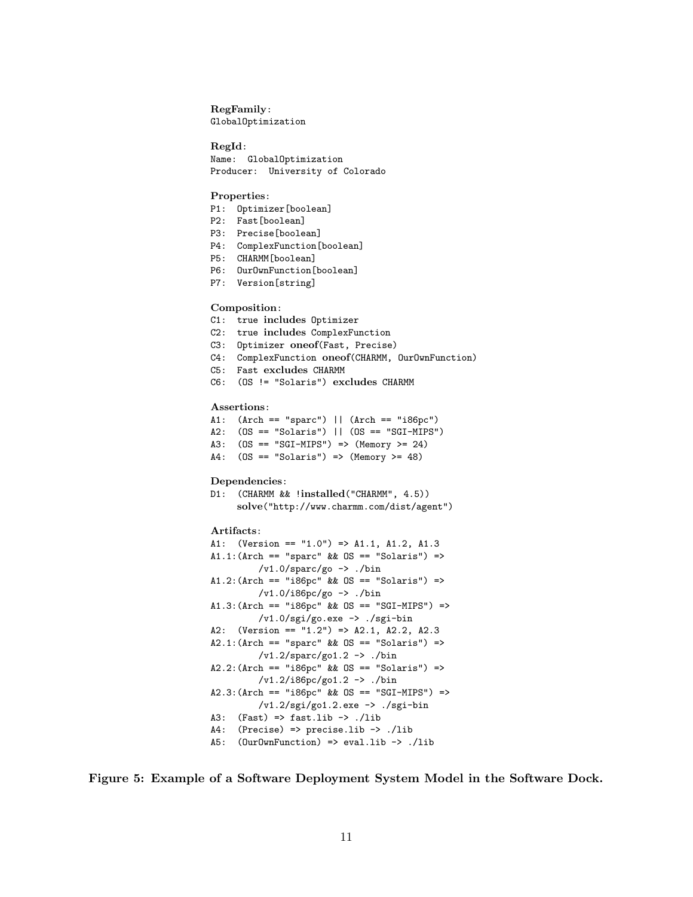### RegFamily:

GlobalOptimization

#### RegId:

Name: GlobalOptimization Producer: University of Colorado

### Properties:

- P1: Optimizer[boolean]
- P2: Fast[boolean]
- P3: Precise[boolean]
- P4: ComplexFunction[boolean]
- P5: CHARMM[boolean]
- P6: OurOwnFunction[boolean]
- P7: Version[string]

#### Composition:

- C1: true includes Optimizer
- C2: true includes ComplexFunction
- C3: Optimizer oneof(Fast, Precise)
- C4: ComplexFunction oneof(CHARMM, OurOwnFunction)
- C5: Fast excludes CHARMM
- C6: (OS != "Solaris") excludes CHARMM

#### Assertions:

- A1: (Arch == "sparc") || (Arch == "i86pc") A2: (OS == "Solaris") || (OS == "SGI-MIPS")
- A3: (OS == "SGI-MIPS") => (Memory >= 24)
- A4: (OS == "Solaris") => (Memory >= 48)

#### Dependencies:

D1: (CHARMM && !installed("CHARMM", 4.5)) solve("http://www.charmm.com/dist/agent")

### Artifacts:

```
A1: (Version == "1.0") => A1.1, A1.2, A1.3
A1.1: (Arch == "sparc" & OS == "Solaris") =>
         /v1.0/sparc/go -> ./bin
A1.2:(Arch == "i86pc" && OS == "Solaris") =>
         /v1.0/i86pc/go -> ./bin
A1.3: (Arch == "i86pc" &0S == "SGI-MIPS") =>
        /v1.0/sgi/go.exe -> ./sgi-bin
A2: (Version == "1.2") => A2.1, A2.2, A2.3
A2.1: (Arch == "sparc" & OS == "Solaris") =>
         /v1.2/sparc/go1.2 -> ./bin
A2.2:(Arch == "i86pc" && OS == "Solaris") =>
         /v1.2/i86pc/go1.2 -> ./bin
A2.3:(Arch == "i86pc" && OS == "SGI-MIPS") =>
         /v1.2/sgi/go1.2.exe -> ./sgi-bin
A3: (Fast) => fast.lib -> ./lib
A4: (Precise) => precise.lib -> ./lib
A5: (OurOwnFunction) => eval.lib -> ./lib
```
Figure 5: Example of a Software Deployment System Model in the Software Dock.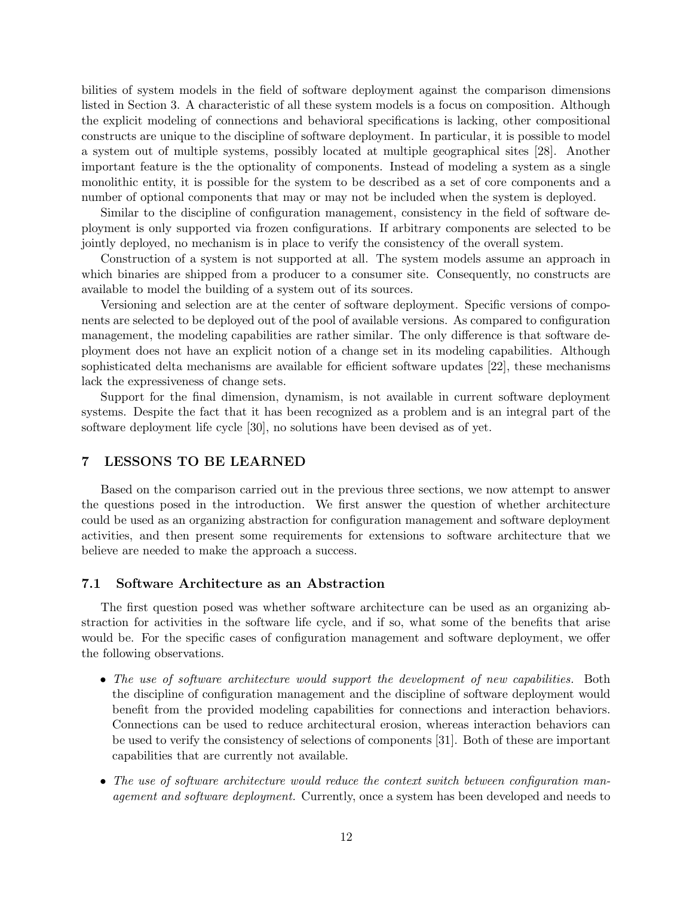bilities of system models in the field of software deployment against the comparison dimensions listed in Section 3. A characteristic of all these system models is a focus on composition. Although the explicit modeling of connections and behavioral specifications is lacking, other compositional constructs are unique to the discipline of software deployment. In particular, it is possible to model a system out of multiple systems, possibly located at multiple geographical sites [28]. Another important feature is the the optionality of components. Instead of modeling a system as a single monolithic entity, it is possible for the system to be described as a set of core components and a number of optional components that may or may not be included when the system is deployed.

Similar to the discipline of configuration management, consistency in the field of software deployment is only supported via frozen configurations. If arbitrary components are selected to be jointly deployed, no mechanism is in place to verify the consistency of the overall system.

Construction of a system is not supported at all. The system models assume an approach in which binaries are shipped from a producer to a consumer site. Consequently, no constructs are available to model the building of a system out of its sources.

Versioning and selection are at the center of software deployment. Specific versions of components are selected to be deployed out of the pool of available versions. As compared to configuration management, the modeling capabilities are rather similar. The only difference is that software deployment does not have an explicit notion of a change set in its modeling capabilities. Although sophisticated delta mechanisms are available for efficient software updates [22], these mechanisms lack the expressiveness of change sets.

Support for the final dimension, dynamism, is not available in current software deployment systems. Despite the fact that it has been recognized as a problem and is an integral part of the software deployment life cycle [30], no solutions have been devised as of yet.

# 7 LESSONS TO BE LEARNED

Based on the comparison carried out in the previous three sections, we now attempt to answer the questions posed in the introduction. We first answer the question of whether architecture could be used as an organizing abstraction for configuration management and software deployment activities, and then present some requirements for extensions to software architecture that we believe are needed to make the approach a success.

### 7.1 Software Architecture as an Abstraction

The first question posed was whether software architecture can be used as an organizing abstraction for activities in the software life cycle, and if so, what some of the benefits that arise would be. For the specific cases of configuration management and software deployment, we offer the following observations.

- The use of software architecture would support the development of new capabilities. Both the discipline of configuration management and the discipline of software deployment would benefit from the provided modeling capabilities for connections and interaction behaviors. Connections can be used to reduce architectural erosion, whereas interaction behaviors can be used to verify the consistency of selections of components [31]. Both of these are important capabilities that are currently not available.
- The use of software architecture would reduce the context switch between configuration management and software deployment. Currently, once a system has been developed and needs to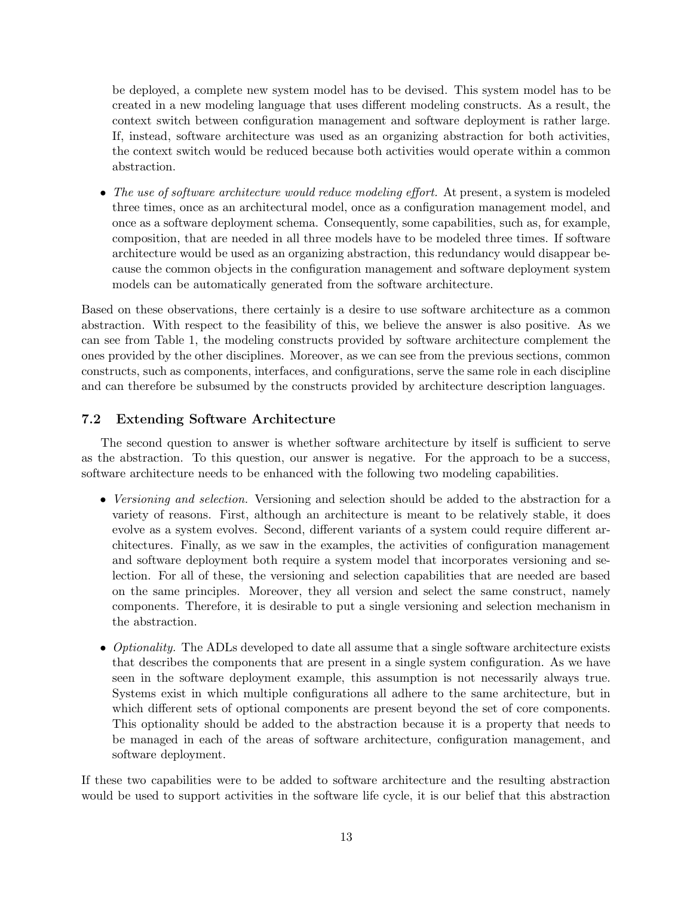be deployed, a complete new system model has to be devised. This system model has to be created in a new modeling language that uses different modeling constructs. As a result, the context switch between configuration management and software deployment is rather large. If, instead, software architecture was used as an organizing abstraction for both activities, the context switch would be reduced because both activities would operate within a common abstraction.

• The use of software architecture would reduce modeling effort. At present, a system is modeled three times, once as an architectural model, once as a configuration management model, and once as a software deployment schema. Consequently, some capabilities, such as, for example, composition, that are needed in all three models have to be modeled three times. If software architecture would be used as an organizing abstraction, this redundancy would disappear because the common objects in the configuration management and software deployment system models can be automatically generated from the software architecture.

Based on these observations, there certainly is a desire to use software architecture as a common abstraction. With respect to the feasibility of this, we believe the answer is also positive. As we can see from Table 1, the modeling constructs provided by software architecture complement the ones provided by the other disciplines. Moreover, as we can see from the previous sections, common constructs, such as components, interfaces, and configurations, serve the same role in each discipline and can therefore be subsumed by the constructs provided by architecture description languages.

# 7.2 Extending Software Architecture

The second question to answer is whether software architecture by itself is sufficient to serve as the abstraction. To this question, our answer is negative. For the approach to be a success, software architecture needs to be enhanced with the following two modeling capabilities.

- Versioning and selection. Versioning and selection should be added to the abstraction for a variety of reasons. First, although an architecture is meant to be relatively stable, it does evolve as a system evolves. Second, different variants of a system could require different architectures. Finally, as we saw in the examples, the activities of configuration management and software deployment both require a system model that incorporates versioning and selection. For all of these, the versioning and selection capabilities that are needed are based on the same principles. Moreover, they all version and select the same construct, namely components. Therefore, it is desirable to put a single versioning and selection mechanism in the abstraction.
- Optionality. The ADLs developed to date all assume that a single software architecture exists that describes the components that are present in a single system configuration. As we have seen in the software deployment example, this assumption is not necessarily always true. Systems exist in which multiple configurations all adhere to the same architecture, but in which different sets of optional components are present beyond the set of core components. This optionality should be added to the abstraction because it is a property that needs to be managed in each of the areas of software architecture, configuration management, and software deployment.

If these two capabilities were to be added to software architecture and the resulting abstraction would be used to support activities in the software life cycle, it is our belief that this abstraction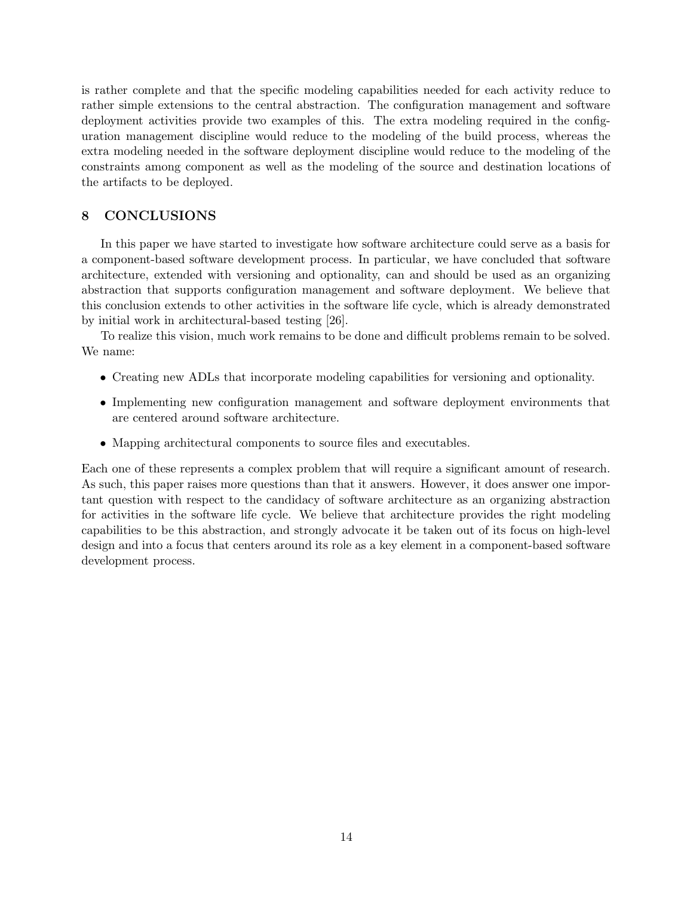is rather complete and that the specific modeling capabilities needed for each activity reduce to rather simple extensions to the central abstraction. The configuration management and software deployment activities provide two examples of this. The extra modeling required in the configuration management discipline would reduce to the modeling of the build process, whereas the extra modeling needed in the software deployment discipline would reduce to the modeling of the constraints among component as well as the modeling of the source and destination locations of the artifacts to be deployed.

# 8 CONCLUSIONS

In this paper we have started to investigate how software architecture could serve as a basis for a component-based software development process. In particular, we have concluded that software architecture, extended with versioning and optionality, can and should be used as an organizing abstraction that supports configuration management and software deployment. We believe that this conclusion extends to other activities in the software life cycle, which is already demonstrated by initial work in architectural-based testing [26].

To realize this vision, much work remains to be done and difficult problems remain to be solved. We name:

- Creating new ADLs that incorporate modeling capabilities for versioning and optionality.
- Implementing new configuration management and software deployment environments that are centered around software architecture.
- Mapping architectural components to source files and executables.

Each one of these represents a complex problem that will require a significant amount of research. As such, this paper raises more questions than that it answers. However, it does answer one important question with respect to the candidacy of software architecture as an organizing abstraction for activities in the software life cycle. We believe that architecture provides the right modeling capabilities to be this abstraction, and strongly advocate it be taken out of its focus on high-level design and into a focus that centers around its role as a key element in a component-based software development process.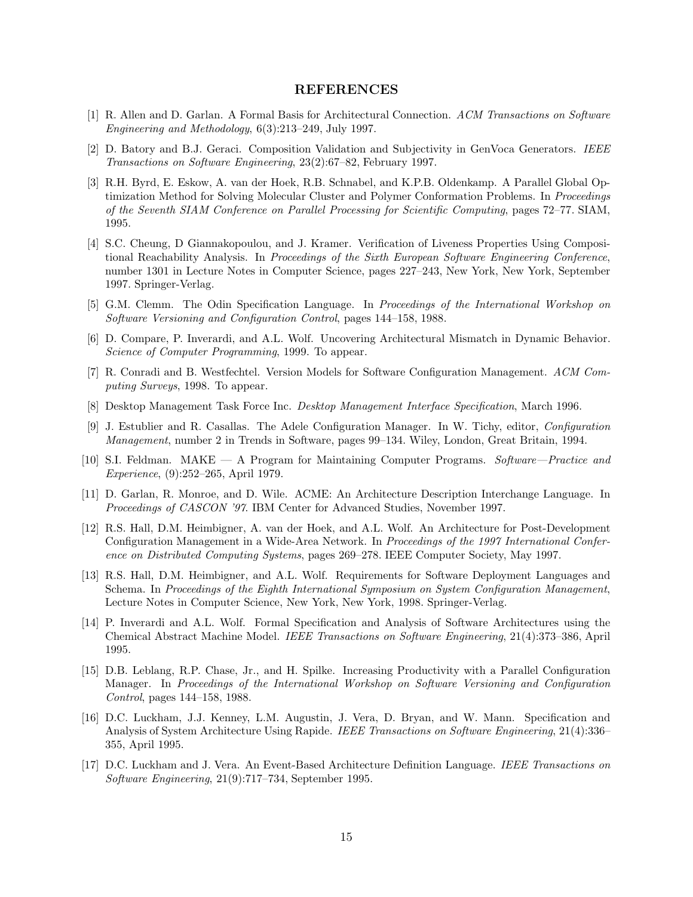### REFERENCES

- [1] R. Allen and D. Garlan. A Formal Basis for Architectural Connection. ACM Transactions on Software Engineering and Methodology, 6(3):213–249, July 1997.
- [2] D. Batory and B.J. Geraci. Composition Validation and Subjectivity in GenVoca Generators. IEEE Transactions on Software Engineering, 23(2):67–82, February 1997.
- [3] R.H. Byrd, E. Eskow, A. van der Hoek, R.B. Schnabel, and K.P.B. Oldenkamp. A Parallel Global Optimization Method for Solving Molecular Cluster and Polymer Conformation Problems. In Proceedings of the Seventh SIAM Conference on Parallel Processing for Scientific Computing, pages 72–77. SIAM, 1995.
- [4] S.C. Cheung, D Giannakopoulou, and J. Kramer. Verification of Liveness Properties Using Compositional Reachability Analysis. In Proceedings of the Sixth European Software Engineering Conference, number 1301 in Lecture Notes in Computer Science, pages 227–243, New York, New York, September 1997. Springer-Verlag.
- [5] G.M. Clemm. The Odin Specification Language. In Proceedings of the International Workshop on Software Versioning and Configuration Control, pages 144–158, 1988.
- [6] D. Compare, P. Inverardi, and A.L. Wolf. Uncovering Architectural Mismatch in Dynamic Behavior. Science of Computer Programming, 1999. To appear.
- [7] R. Conradi and B. Westfechtel. Version Models for Software Configuration Management. ACM Computing Surveys, 1998. To appear.
- [8] Desktop Management Task Force Inc. Desktop Management Interface Specification, March 1996.
- [9] J. Estublier and R. Casallas. The Adele Configuration Manager. In W. Tichy, editor, Configuration Management, number 2 in Trends in Software, pages 99–134. Wiley, London, Great Britain, 1994.
- [10] S.I. Feldman. MAKE A Program for Maintaining Computer Programs. Software—Practice and Experience, (9):252–265, April 1979.
- [11] D. Garlan, R. Monroe, and D. Wile. ACME: An Architecture Description Interchange Language. In Proceedings of CASCON '97. IBM Center for Advanced Studies, November 1997.
- [12] R.S. Hall, D.M. Heimbigner, A. van der Hoek, and A.L. Wolf. An Architecture for Post-Development Configuration Management in a Wide-Area Network. In Proceedings of the 1997 International Conference on Distributed Computing Systems, pages 269–278. IEEE Computer Society, May 1997.
- [13] R.S. Hall, D.M. Heimbigner, and A.L. Wolf. Requirements for Software Deployment Languages and Schema. In Proceedings of the Eighth International Symposium on System Configuration Management, Lecture Notes in Computer Science, New York, New York, 1998. Springer-Verlag.
- [14] P. Inverardi and A.L. Wolf. Formal Specification and Analysis of Software Architectures using the Chemical Abstract Machine Model. IEEE Transactions on Software Engineering, 21(4):373–386, April 1995.
- [15] D.B. Leblang, R.P. Chase, Jr., and H. Spilke. Increasing Productivity with a Parallel Configuration Manager. In Proceedings of the International Workshop on Software Versioning and Configuration Control, pages 144–158, 1988.
- [16] D.C. Luckham, J.J. Kenney, L.M. Augustin, J. Vera, D. Bryan, and W. Mann. Specification and Analysis of System Architecture Using Rapide. IEEE Transactions on Software Engineering, 21(4):336– 355, April 1995.
- [17] D.C. Luckham and J. Vera. An Event-Based Architecture Definition Language. IEEE Transactions on Software Engineering, 21(9):717–734, September 1995.